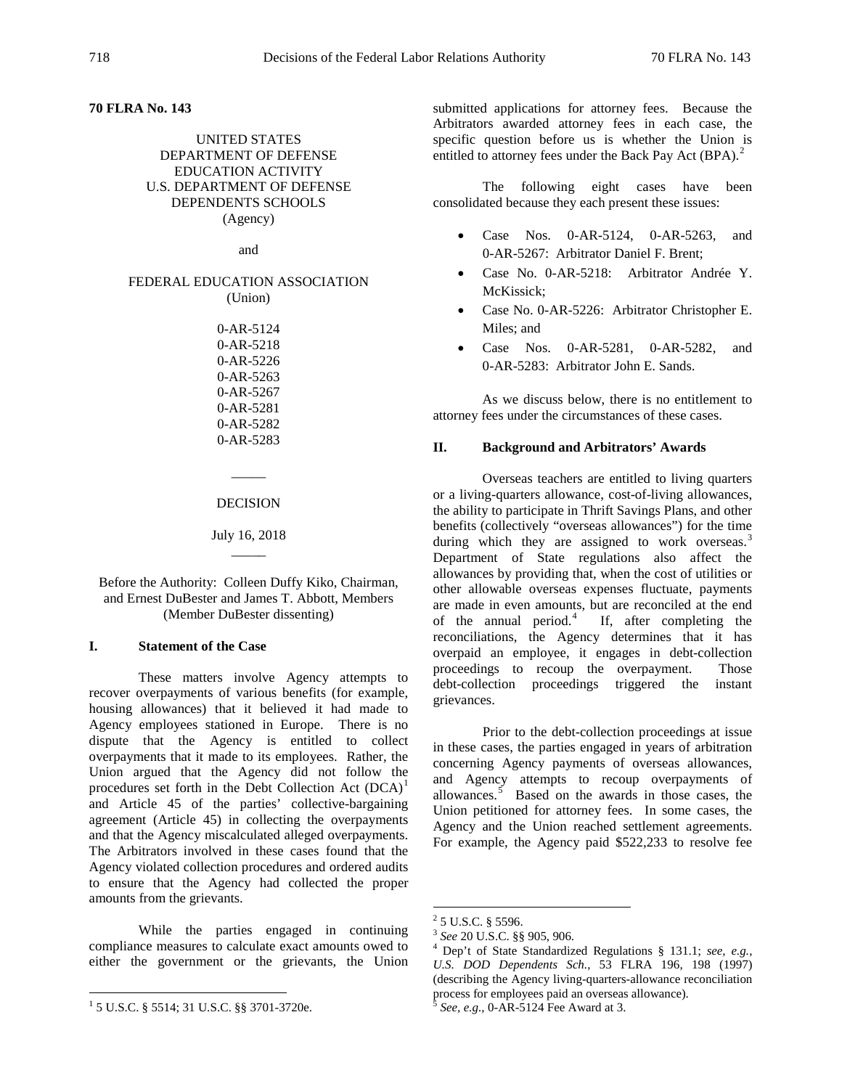# **70 FLRA No. 143**

UNITED STATES DEPARTMENT OF DEFENSE EDUCATION ACTIVITY U.S. DEPARTMENT OF DEFENSE DEPENDENTS SCHOOLS (Agency)

and

### FEDERAL EDUCATION ASSOCIATION (Union)

0-AR-5124 0-AR-5218 0-AR-5226 0-AR-5263 0-AR-5267 0-AR-5281 0-AR-5282 0-AR-5283

#### DECISION

 $\overline{\phantom{a}}$ 

## July 16, 2018  $\overline{\phantom{a}}$

# Before the Authority: Colleen Duffy Kiko, Chairman, and Ernest DuBester and James T. Abbott, Members (Member DuBester dissenting)

### **I. Statement of the Case**

These matters involve Agency attempts to recover overpayments of various benefits (for example, housing allowances) that it believed it had made to Agency employees stationed in Europe. There is no dispute that the Agency is entitled to collect overpayments that it made to its employees. Rather, the Union argued that the Agency did not follow the procedures set forth in the Debt Collection Act  $(DCA)^1$  $(DCA)^1$ and Article 45 of the parties' collective-bargaining agreement (Article 45) in collecting the overpayments and that the Agency miscalculated alleged overpayments. The Arbitrators involved in these cases found that the Agency violated collection procedures and ordered audits to ensure that the Agency had collected the proper amounts from the grievants.

<span id="page-0-3"></span><span id="page-0-2"></span><span id="page-0-1"></span>While the parties engaged in continuing compliance measures to calculate exact amounts owed to either the government or the grievants, the Union submitted applications for attorney fees. Because the Arbitrators awarded attorney fees in each case, the specific question before us is whether the Union is entitled to attorney fees under the Back Pay Act (BPA).<sup>[2](#page-0-1)</sup>

The following eight cases have been consolidated because they each present these issues:

- Case Nos. 0-AR-5124, 0-AR-5263, and 0-AR-5267: Arbitrator Daniel F. Brent;
- Case No. 0-AR-5218: Arbitrator Andrée Y. McKissick;
- Case No. 0-AR-5226: Arbitrator Christopher E. Miles; and
- Case Nos. 0-AR-5281, 0-AR-5282, and 0-AR-5283: Arbitrator John E. Sands.

As we discuss below, there is no entitlement to attorney fees under the circumstances of these cases.

### **II. Background and Arbitrators' Awards**

Overseas teachers are entitled to living quarters or a living-quarters allowance, cost-of-living allowances, the ability to participate in Thrift Savings Plans, and other benefits (collectively "overseas allowances") for the time during which they are assigned to work overseas. $3$ Department of State regulations also affect the allowances by providing that, when the cost of utilities or other allowable overseas expenses fluctuate, payments are made in even amounts, but are reconciled at the end of the annual period.[4](#page-0-3) If, after completing the reconciliations, the Agency determines that it has overpaid an employee, it engages in debt-collection proceedings to recoup the overpayment. Those debt-collection proceedings triggered the instant grievances.

Prior to the debt-collection proceedings at issue in these cases, the parties engaged in years of arbitration concerning Agency payments of overseas allowances, and Agency attempts to recoup overpayments of allowances.<sup>[5](#page-0-0)</sup> Based on the awards in those cases, the Union petitioned for attorney fees. In some cases, the Agency and the Union reached settlement agreements. For example, the Agency paid \$522,233 to resolve fee

<span id="page-0-0"></span> <sup>1</sup> 5 U.S.C. § 5514; 31 U.S.C. §§ 3701-3720e.

 $^{2}$  5 U.S.C. § 5596.<br> $^{3}$  See 20 U.S.C. §§ 905, 906.

<sup>&</sup>lt;sup>4</sup> Dep't of State Standardized Regulations § 131.1; see, e.g., *U.S. DOD Dependents Sch.*, 53 FLRA 196, 198 (1997) (describing the Agency living-quarters-allowance reconciliation process for employees paid an overseas allowance).

<sup>5</sup> *See, e.g.*, 0-AR-5124 Fee Award at 3.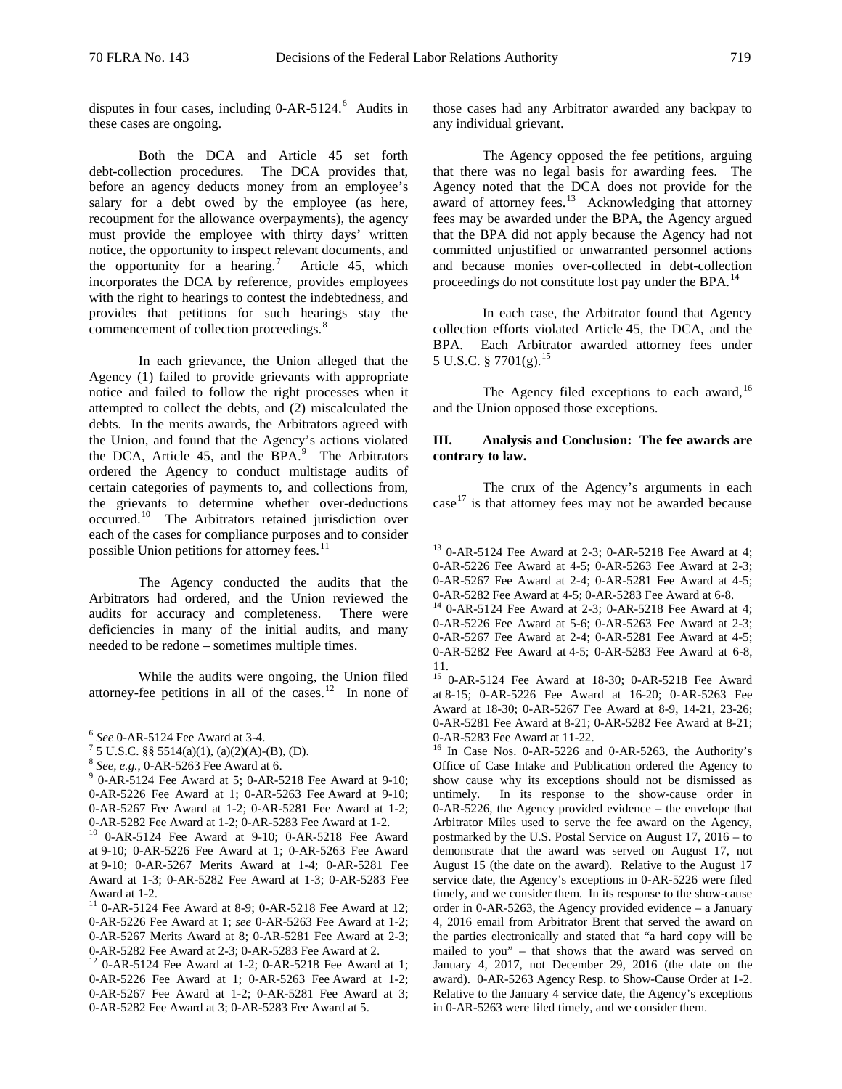disputes in four cases, including 0-AR-5124.<sup>[6](#page-1-0)</sup> Audits in these cases are ongoing.

Both the DCA and Article 45 set forth debt-collection procedures. The DCA provides that, before an agency deducts money from an employee's salary for a debt owed by the employee (as here, recoupment for the allowance overpayments), the agency must provide the employee with thirty days' written notice, the opportunity to inspect relevant documents, and the opportunity for a hearing.<sup>[7](#page-1-1)</sup> Article 45, which incorporates the DCA by reference, provides employees with the right to hearings to contest the indebtedness, and provides that petitions for such hearings stay the commencement of collection proceedings.<sup>[8](#page-1-2)</sup>

In each grievance, the Union alleged that the Agency (1) failed to provide grievants with appropriate notice and failed to follow the right processes when it attempted to collect the debts, and (2) miscalculated the debts. In the merits awards, the Arbitrators agreed with the Union, and found that the Agency's actions violated the DCA, Article  $45$ , and the BPA.<sup>[9](#page-1-3)</sup> The Arbitrators ordered the Agency to conduct multistage audits of certain categories of payments to, and collections from, the grievants to determine whether over-deductions occurred.[10](#page-1-4) The Arbitrators retained jurisdiction over each of the cases for compliance purposes and to consider possible Union petitions for attorney fees.<sup>[11](#page-1-5)</sup>

<span id="page-1-8"></span><span id="page-1-7"></span>The Agency conducted the audits that the Arbitrators had ordered, and the Union reviewed the audits for accuracy and completeness. There were deficiencies in many of the initial audits, and many needed to be redone – sometimes multiple times.

<span id="page-1-9"></span>While the audits were ongoing, the Union filed attorney-fee petitions in all of the cases.<sup>[12](#page-1-6)</sup> In none of those cases had any Arbitrator awarded any backpay to any individual grievant.

The Agency opposed the fee petitions, arguing that there was no legal basis for awarding fees. The Agency noted that the DCA does not provide for the award of attorney fees.<sup>[13](#page-1-7)</sup> Acknowledging that attorney fees may be awarded under the BPA, the Agency argued that the BPA did not apply because the Agency had not committed unjustified or unwarranted personnel actions and because monies over-collected in debt-collection proceedings do not constitute lost pay under the BPA.<sup>[14](#page-1-8)</sup>

In each case, the Arbitrator found that Agency collection efforts violated Article 45, the DCA, and the BPA. Each Arbitrator awarded attorney fees under 5 U.S.C. § 7701(g).<sup>[15](#page-1-9)</sup>

The Agency filed exceptions to each award,  $16$ and the Union opposed those exceptions.

# **III. Analysis and Conclusion: The fee awards are contrary to law.**

The crux of the Agency's arguments in each case $17$  is that attorney fees may not be awarded because

<span id="page-1-3"></span><span id="page-1-2"></span>

<span id="page-1-1"></span><span id="page-1-0"></span><sup>6</sup> *See* 0-AR-5124 Fee Award at 3-4. 7 5 U.S.C. §§ 5514(a)(1), (a)(2)(A)-(B), (D). <sup>8</sup> *See, e.g.*, 0-AR-5263 Fee Award at 6. <sup>9</sup> 0-AR-5124 Fee Award at 5; 0-AR-5218 Fee Award at 9-10; 0-AR-5226 Fee Award at 1; 0-AR-5263 Fee Award at 9-10; 0-AR-5267 Fee Award at 1-2; 0-AR-5281 Fee Award at 1-2; 0-AR-5282 Fee Award at 1-2; 0-AR-5283 Fee Award at 1-2. 10 0-AR-5124 Fee Award at 9-10; 0-AR-5218 Fee Award

<span id="page-1-4"></span>at 9-10; 0-AR-5226 Fee Award at 1; 0-AR-5263 Fee Award at 9-10; 0-AR-5267 Merits Award at 1-4; 0-AR-5281 Fee Award at 1-3; 0-AR-5282 Fee Award at 1-3; 0-AR-5283 Fee

<span id="page-1-5"></span>Award at 1-2.<br><sup>11</sup> 0-AR-5124 Fee Award at 8-9; 0-AR-5218 Fee Award at 12; 0-AR-5226 Fee Award at 1; *see* 0-AR-5263 Fee Award at 1-2; 0-AR-5267 Merits Award at 8; 0-AR-5281 Fee Award at 2-3; 0-AR-5282 Fee Award at 2-3; 0-AR-5283 Fee Award at 2.<br><sup>12</sup> 0-AR-5124 Fee Award at 1-2; 0-AR-5218 Fee Award at 1;

<span id="page-1-6"></span><sup>0-</sup>AR-5226 Fee Award at 1; 0-AR-5263 Fee Award at 1-2; 0-AR-5267 Fee Award at 1-2; 0-AR-5281 Fee Award at 3; 0-AR-5282 Fee Award at 3; 0-AR-5283 Fee Award at 5.

 <sup>13</sup> 0-AR-5124 Fee Award at 2-3; 0-AR-5218 Fee Award at 4; 0-AR-5226 Fee Award at 4-5; 0-AR-5263 Fee Award at 2-3; 0-AR-5267 Fee Award at 2-4; 0-AR-5281 Fee Award at 4-5; 0-AR-5282 Fee Award at 4-5; 0-AR-5283 Fee Award at 6-8. <sup>14</sup> 0-AR-5124 Fee Award at 2-3; 0-AR-5218 Fee Award at 4;

<sup>0-</sup>AR-5226 Fee Award at 5-6; 0-AR-5263 Fee Award at 2-3; 0-AR-5267 Fee Award at 2-4; 0-AR-5281 Fee Award at 4-5; 0-AR-5282 Fee Award at 4-5; 0-AR-5283 Fee Award at 6-8, 11.

<sup>15</sup> 0-AR-5124 Fee Award at 18-30; 0-AR-5218 Fee Award at 8-15; 0-AR-5226 Fee Award at 16-20; 0-AR-5263 Fee Award at 18-30; 0-AR-5267 Fee Award at 8-9, 14-21, 23-26; 0-AR-5281 Fee Award at 8-21; 0-AR-5282 Fee Award at 8-21; 0-AR-5283 Fee Award at 11-22.<br> $16$  In Case Nos. 0-AR-5226 and 0-AR-5263, the Authority's

Office of Case Intake and Publication ordered the Agency to show cause why its exceptions should not be dismissed as untimely. In its response to the show-cause order in 0-AR-5226, the Agency provided evidence – the envelope that Arbitrator Miles used to serve the fee award on the Agency, postmarked by the U.S. Postal Service on August 17, 2016 – to demonstrate that the award was served on August 17, not August 15 (the date on the award). Relative to the August 17 service date, the Agency's exceptions in 0-AR-5226 were filed timely, and we consider them. In its response to the show-cause order in 0-AR-5263, the Agency provided evidence – a January 4, 2016 email from Arbitrator Brent that served the award on the parties electronically and stated that "a hard copy will be mailed to you" – that shows that the award was served on January 4, 2017, not December 29, 2016 (the date on the award). 0-AR-5263 Agency Resp. to Show-Cause Order at 1-2. Relative to the January 4 service date, the Agency's exceptions in 0-AR-5263 were filed timely, and we consider them.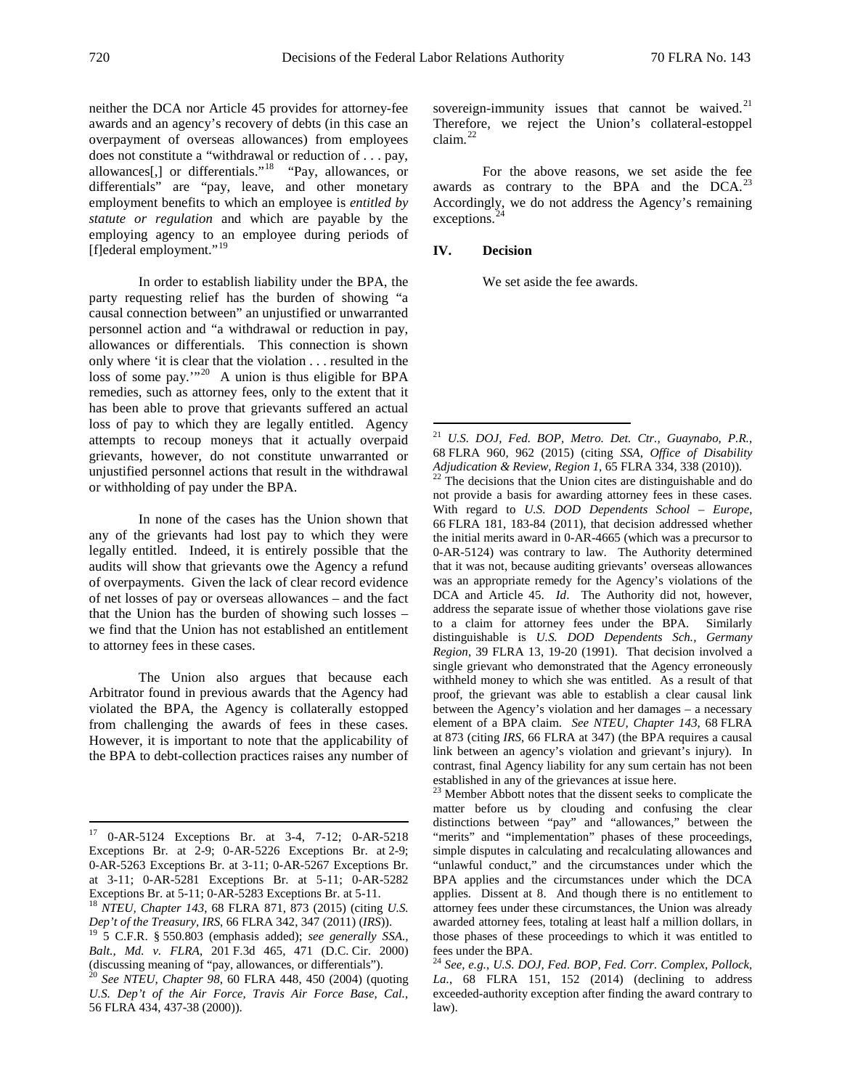neither the DCA nor Article 45 provides for attorney-fee awards and an agency's recovery of debts (in this case an overpayment of overseas allowances) from employees does not constitute a "withdrawal or reduction of . . . pay, allowances[,] or differentials."[18](#page-2-0) "Pay, allowances, or differentials" are "pay, leave, and other monetary employment benefits to which an employee is *entitled by statute or regulation* and which are payable by the employing agency to an employee during periods of [f]ederal employment."<sup>19</sup>

In order to establish liability under the BPA, the party requesting relief has the burden of showing "a causal connection between" an unjustified or unwarranted personnel action and "a withdrawal or reduction in pay, allowances or differentials. This connection is shown only where 'it is clear that the violation . . . resulted in the loss of some pay."<sup>20</sup> A union is thus eligible for BPA remedies, such as attorney fees, only to the extent that it has been able to prove that grievants suffered an actual loss of pay to which they are legally entitled. Agency attempts to recoup moneys that it actually overpaid grievants, however, do not constitute unwarranted or unjustified personnel actions that result in the withdrawal or withholding of pay under the BPA.

<span id="page-2-4"></span><span id="page-2-3"></span>In none of the cases has the Union shown that any of the grievants had lost pay to which they were legally entitled. Indeed, it is entirely possible that the audits will show that grievants owe the Agency a refund of overpayments. Given the lack of clear record evidence of net losses of pay or overseas allowances – and the fact that the Union has the burden of showing such losses – we find that the Union has not established an entitlement to attorney fees in these cases.

The Union also argues that because each Arbitrator found in previous awards that the Agency had violated the BPA, the Agency is collaterally estopped from challenging the awards of fees in these cases. However, it is important to note that the applicability of the BPA to debt-collection practices raises any number of sovereign-immunity issues that cannot be waived. $21$ Therefore, we reject the Union's collateral-estoppel claim. $^{22}$ 

For the above reasons, we set aside the fee awards as contrary to the BPA and the  $DCA$ <sup>[23](#page-2-5)</sup> Accordingly, we do not address the Agency's remaining exceptions.

### **IV. Decision**

We set aside the fee awards.

not provide a basis for awarding attorney fees in these cases. With regard to *U.S. DOD Dependents School – Europe*, 66 FLRA 181, 183-84 (2011), that decision addressed whether the initial merits award in 0-AR-4665 (which was a precursor to 0-AR-5124) was contrary to law. The Authority determined that it was not, because auditing grievants' overseas allowances was an appropriate remedy for the Agency's violations of the DCA and Article 45. *Id*. The Authority did not, however, address the separate issue of whether those violations gave rise to a claim for attorney fees under the BPA. Similarly distinguishable is *U.S. DOD Dependents Sch., Germany Region*, 39 FLRA 13, 19-20 (1991). That decision involved a single grievant who demonstrated that the Agency erroneously withheld money to which she was entitled. As a result of that proof, the grievant was able to establish a clear causal link between the Agency's violation and her damages – a necessary element of a BPA claim. *See NTEU, Chapter 143*, 68 FLRA at 873 (citing *IRS*, 66 FLRA at 347) (the BPA requires a causal link between an agency's violation and grievant's injury). In contrast, final Agency liability for any sum certain has not been established in any of the grievances at issue here.

<sup>23</sup> Member Abbott notes that the dissent seeks to complicate the matter before us by clouding and confusing the clear distinctions between "pay" and "allowances," between the "merits" and "implementation" phases of these proceedings, simple disputes in calculating and recalculating allowances and "unlawful conduct," and the circumstances under which the BPA applies and the circumstances under which the DCA applies. Dissent at 8. And though there is no entitlement to attorney fees under these circumstances, the Union was already awarded attorney fees, totaling at least half a million dollars, in those phases of these proceedings to which it was entitled to fees under the BPA. <sup>24</sup> *See, e.g.*, *U.S. DOJ, Fed. BOP, Fed. Corr. Complex, Pollock,* 

*La.*, 68 FLRA 151, 152 (2014) (declining to address exceeded-authority exception after finding the award contrary to law).

<span id="page-2-5"></span> <sup>17</sup> 0-AR-5124 Exceptions Br. at 3-4, 7-12; 0-AR-5218 Exceptions Br. at 2-9; 0-AR-5226 Exceptions Br. at 2-9; 0-AR-5263 Exceptions Br. at 3-11; 0-AR-5267 Exceptions Br. at 3-11; 0-AR-5281 Exceptions Br. at 5-11; 0-AR-5282

<span id="page-2-0"></span>Exceptions Br. at 5-11; 0-AR-5283 Exceptions Br. at 5-11.<br><sup>18</sup> *NTEU, Chapter 143*, 68 FLRA 871, 873 (2015) (citing *U.S. Dep't of the Treasury, IRS,* 66 FLRA 342, 347 (2011) (*IRS*)).

<span id="page-2-1"></span><sup>&</sup>lt;sup>19</sup> 5 C.F.R. § 550.803 (emphasis added); *see generally SSA.*, *Balt., Md. v. FLRA*, 201 F.3d 465, 471 (D.C. Cir. 2000) (discussing meaning of "pay, allowances, or differentials").

<span id="page-2-6"></span><span id="page-2-2"></span><sup>20</sup> *See NTEU, Chapter 98*, 60 FLRA 448, 450 (2004) (quoting *U.S. Dep't of the Air Force, Travis Air Force Base, Cal.*, 56 FLRA 434, 437-38 (2000)).

 <sup>21</sup> *U.S. DOJ, Fed. BOP, Metro. Det. Ctr., Guaynabo, P.R.*, 68 FLRA 960, 962 (2015) (citing *SSA, Office of Disability Adjudication & Review, Region 1*, 65 FLRA 334, 338 (2010)). 22 The decisions that the Union cites are distinguishable and do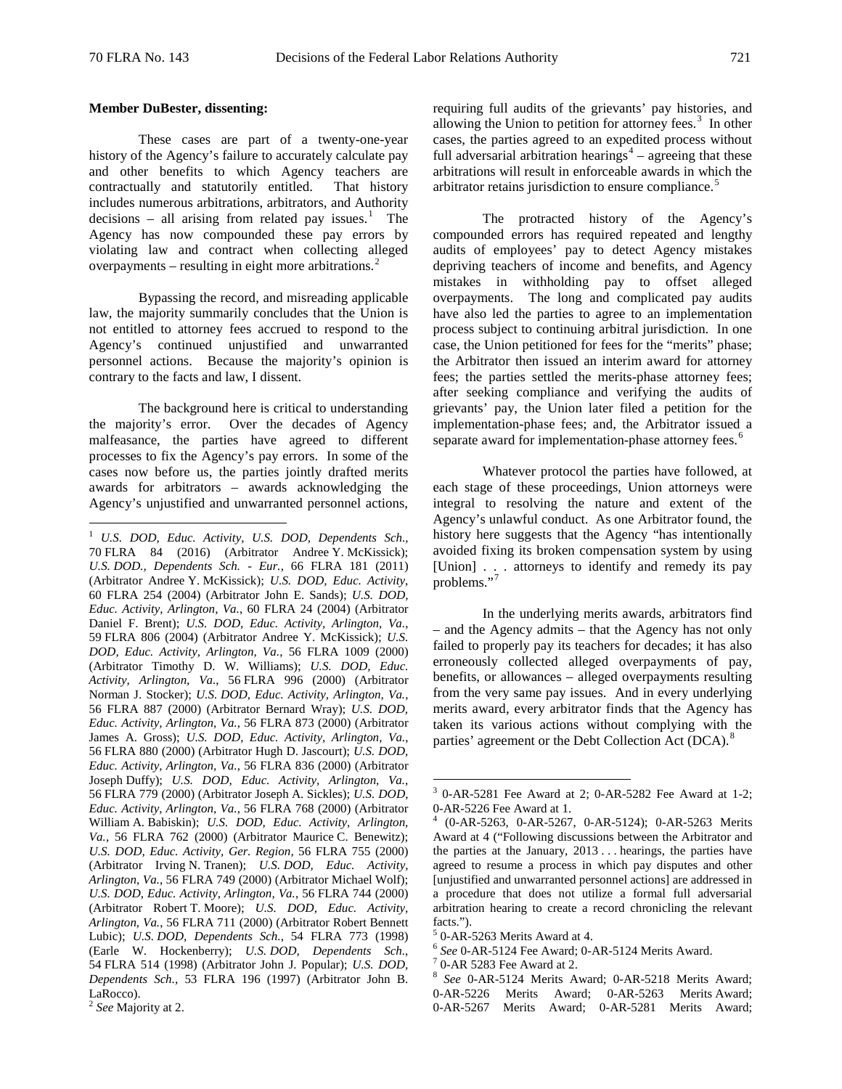### **Member DuBester, dissenting:**

These cases are part of a twenty-one-year history of the Agency's failure to accurately calculate pay and other benefits to which Agency teachers are contractually and statutorily entitled. That history includes numerous arbitrations, arbitrators, and Authority decisions – all arising from related pay issues.<sup>[1](#page-3-0)</sup> The Agency has now compounded these pay errors by violating law and contract when collecting alleged overpayments – resulting in eight more arbitrations. $2$ 

Bypassing the record, and misreading applicable law, the majority summarily concludes that the Union is not entitled to attorney fees accrued to respond to the Agency's continued unjustified and unwarranted personnel actions. Because the majority's opinion is contrary to the facts and law, I dissent.

The background here is critical to understanding the majority's error. Over the decades of Agency malfeasance, the parties have agreed to different processes to fix the Agency's pay errors. In some of the cases now before us, the parties jointly drafted merits awards for arbitrators – awards acknowledging the Agency's unjustified and unwarranted personnel actions,

requiring full audits of the grievants' pay histories, and allowing the Union to petition for attorney fees. $3$  In other cases, the parties agreed to an expedited process without full adversarial arbitration hearings<sup>[4](#page-3-3)</sup> – agreeing that these arbitrations will result in enforceable awards in which the arbitrator retains jurisdiction to ensure compliance.<sup>[5](#page-3-4)</sup>

The protracted history of the Agency's compounded errors has required repeated and lengthy audits of employees' pay to detect Agency mistakes depriving teachers of income and benefits, and Agency mistakes in withholding pay to offset alleged overpayments. The long and complicated pay audits have also led the parties to agree to an implementation process subject to continuing arbitral jurisdiction. In one case, the Union petitioned for fees for the "merits" phase; the Arbitrator then issued an interim award for attorney fees; the parties settled the merits-phase attorney fees; after seeking compliance and verifying the audits of grievants' pay, the Union later filed a petition for the implementation-phase fees; and, the Arbitrator issued a separate award for implementation-phase attorney fees.<sup>[6](#page-3-5)</sup>

Whatever protocol the parties have followed, at each stage of these proceedings, Union attorneys were integral to resolving the nature and extent of the Agency's unlawful conduct. As one Arbitrator found, the history here suggests that the Agency "has intentionally avoided fixing its broken compensation system by using [Union] . . . attorneys to identify and remedy its pay problems."

In the underlying merits awards, arbitrators find – and the Agency admits – that the Agency has not only failed to properly pay its teachers for decades; it has also erroneously collected alleged overpayments of pay, benefits, or allowances – alleged overpayments resulting from the very same pay issues. And in every underlying merits award, every arbitrator finds that the Agency has taken its various actions without complying with the parties' agreement or the Debt Collection Act (DCA).<sup>[8](#page-3-7)</sup>

<span id="page-3-0"></span> <sup>1</sup> *U.S. DOD, Educ. Activity, U.S. DOD, Dependents Sch.*, 70 FLRA 84 (2016) (Arbitrator Andree Y. McKissick); *U.S. DOD., Dependents Sch. - Eur.*, 66 FLRA 181 (2011) (Arbitrator Andree Y. McKissick); *U.S. DOD, Educ. Activity*, 60 FLRA 254 (2004) (Arbitrator John E. Sands); *U.S. DOD, Educ. Activity, Arlington, Va.*, 60 FLRA 24 (2004) (Arbitrator Daniel F. Brent); *U.S. DOD, Educ. Activity, Arlington, Va.*, 59 FLRA 806 (2004) (Arbitrator Andree Y. McKissick); *U.S. DOD, Educ. Activity, Arlington, Va.*, 56 FLRA 1009 (2000) (Arbitrator Timothy D. W. Williams); *U.S. DOD, Educ. Activity, Arlington, Va.*, 56 FLRA 996 (2000) (Arbitrator Norman J. Stocker); *U.S. DOD, Educ. Activity, Arlington, Va.*, 56 FLRA 887 (2000) (Arbitrator Bernard Wray); *U.S. DOD, Educ. Activity, Arlington, Va.*, 56 FLRA 873 (2000) (Arbitrator James A. Gross); *U.S. DOD, Educ. Activity, Arlington, Va.*, 56 FLRA 880 (2000) (Arbitrator Hugh D. Jascourt); *U.S. DOD, Educ. Activity, Arlington, Va.*, 56 FLRA 836 (2000) (Arbitrator Joseph Duffy); *U.S. DOD, Educ. Activity, Arlington, Va.*, 56 FLRA 779 (2000) (Arbitrator Joseph A. Sickles); *U.S. DOD, Educ. Activity, Arlington, Va.*, 56 FLRA 768 (2000) (Arbitrator William A. Babiskin); *U.S. DOD, Educ. Activity, Arlington, Va.*, 56 FLRA 762 (2000) (Arbitrator Maurice C. Benewitz); *U.S. DOD, Educ. Activity, Ger. Region*, 56 FLRA 755 (2000) (Arbitrator Irving N. Tranen); *U.S. DOD, Educ. Activity, Arlington, Va.*, 56 FLRA 749 (2000) (Arbitrator Michael Wolf); *U.S. DOD, Educ. Activity, Arlington, Va.*, 56 FLRA 744 (2000) (Arbitrator Robert T. Moore); *U.S. DOD, Educ. Activity, Arlington, Va.*, 56 FLRA 711 (2000) (Arbitrator Robert Bennett Lubic); *U.S. DOD, Dependents Sch.*, 54 FLRA 773 (1998) (Earle W. Hockenberry); *U.S. DOD, Dependents Sch.*, 54 FLRA 514 (1998) (Arbitrator John J. Popular); *U.S. DOD, Dependents Sch.*, 53 FLRA 196 (1997) (Arbitrator John B. LaRocco).

<span id="page-3-7"></span><span id="page-3-6"></span><span id="page-3-5"></span><span id="page-3-4"></span><span id="page-3-3"></span><span id="page-3-2"></span><span id="page-3-1"></span><sup>2</sup> *See* Majority at 2.

 $3$  0-AR-5281 Fee Award at 2; 0-AR-5282 Fee Award at 1-2; 0-AR-5226 Fee Award at 1.<br><sup>4</sup> (0-AR-5263, 0-AR-5267, 0-AR-5124); 0-AR-5263 Merits

Award at 4 ("Following discussions between the Arbitrator and the parties at the January, 2013 . . . hearings, the parties have agreed to resume a process in which pay disputes and other [unjustified and unwarranted personnel actions] are addressed in a procedure that does not utilize a formal full adversarial arbitration hearing to create a record chronicling the relevant

facts.").<br> $5$  0-AR-5263 Merits Award at 4.

<sup>&</sup>lt;sup>6</sup> See 0-AR-5124 Fee Award; 0-AR-5124 Merits Award.<br><sup>7</sup> 0-AR 5283 Fee Award at 2.<br><sup>8</sup> See 0-AR-5124 Merits Award; 0-AR-5218 Merits Award; 0-AR-5226 Merits Award; 0-AR-5263 Merits Award; 0-AR-5267 Merits Award; 0-AR-5281 Merits Award;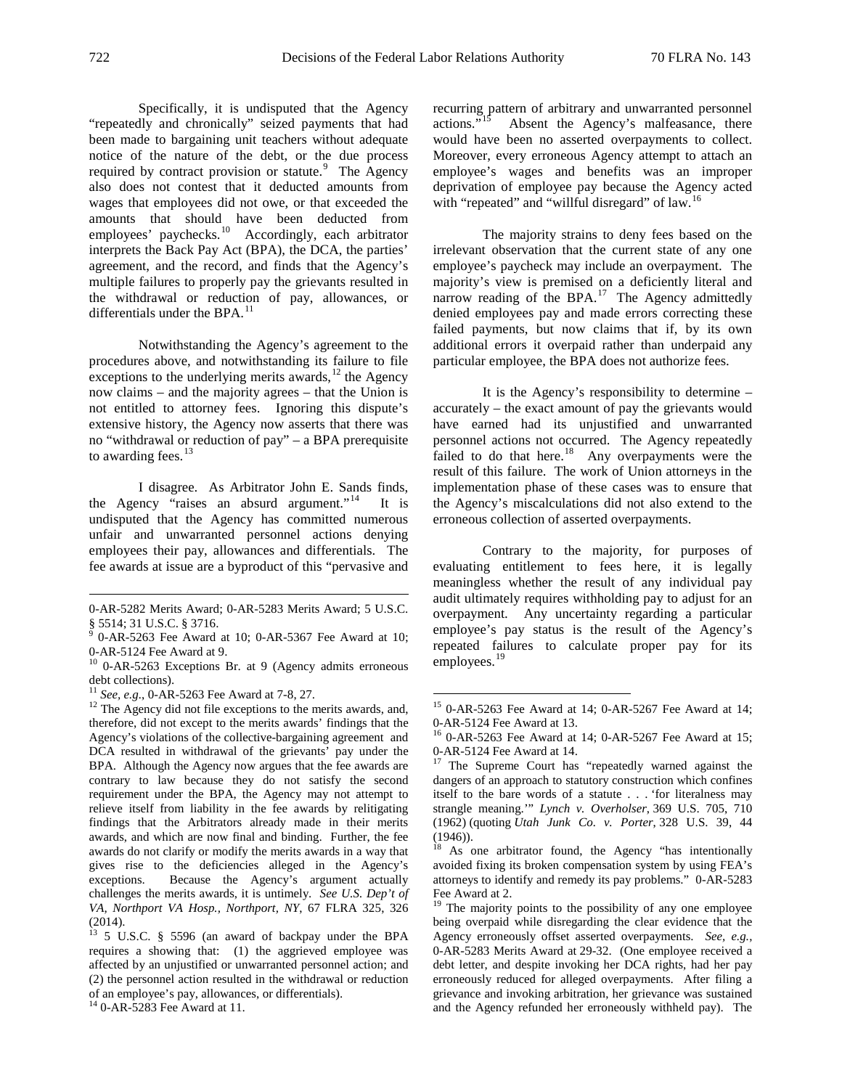Specifically, it is undisputed that the Agency "repeatedly and chronically" seized payments that had been made to bargaining unit teachers without adequate notice of the nature of the debt, or the due process required by contract provision or statute.<sup>[9](#page-4-0)</sup> The Agency also does not contest that it deducted amounts from wages that employees did not owe, or that exceeded the amounts that should have been deducted from employees' paychecks.<sup>[10](#page-4-1)</sup> Accordingly, each arbitrator interprets the Back Pay Act (BPA), the DCA, the parties' agreement, and the record, and finds that the Agency's multiple failures to properly pay the grievants resulted in the withdrawal or reduction of pay, allowances, or differentials under the BPA.<sup>[11](#page-4-2)</sup>

Notwithstanding the Agency's agreement to the procedures above, and notwithstanding its failure to file exceptions to the underlying merits awards, $^{12}$  $^{12}$  $^{12}$  the Agency now claims – and the majority agrees – that the Union is not entitled to attorney fees. Ignoring this dispute's extensive history, the Agency now asserts that there was no "withdrawal or reduction of pay" – a BPA prerequisite to awarding fees. $^{13}$  $^{13}$  $^{13}$ 

I disagree. As Arbitrator John E. Sands finds, the Agency "raises an absurd argument."<sup>[14](#page-4-5)</sup> It is undisputed that the Agency has committed numerous unfair and unwarranted personnel actions denying employees their pay, allowances and differentials. The fee awards at issue are a byproduct of this "pervasive and

recurring pattern of arbitrary and unwarranted personnel actions."<sup>15</sup> Absent the Agency's malfeasance, there Absent the Agency's malfeasance, there would have been no asserted overpayments to collect. Moreover, every erroneous Agency attempt to attach an employee's wages and benefits was an improper deprivation of employee pay because the Agency acted with "repeated" and "willful disregard" of law.<sup>[16](#page-4-6)</sup>

The majority strains to deny fees based on the irrelevant observation that the current state of any one employee's paycheck may include an overpayment. The majority's view is premised on a deficiently literal and narrow reading of the BPA.<sup>[17](#page-4-7)</sup> The Agency admittedly denied employees pay and made errors correcting these failed payments, but now claims that if, by its own additional errors it overpaid rather than underpaid any particular employee, the BPA does not authorize fees.

It is the Agency's responsibility to determine – accurately – the exact amount of pay the grievants would have earned had its unjustified and unwarranted personnel actions not occurred. The Agency repeatedly failed to do that here. $18$  Any overpayments were the result of this failure. The work of Union attorneys in the implementation phase of these cases was to ensure that the Agency's miscalculations did not also extend to the erroneous collection of asserted overpayments.

Contrary to the majority, for purposes of evaluating entitlement to fees here, it is legally meaningless whether the result of any individual pay audit ultimately requires withholding pay to adjust for an overpayment. Any uncertainty regarding a particular employee's pay status is the result of the Agency's repeated failures to calculate proper pay for its employees.<sup>[19](#page-4-9)</sup>

 <sup>0-</sup>AR-5282 Merits Award; 0-AR-5283 Merits Award; [5 U.S.C.](http://www.westlaw.com/Link/Document/FullText?findType=L&pubNum=1000546&cite=5USCAS5514&originatingDoc=Id1299d2cea3011e0be8fdb5fa26a1033&refType=LQ&originationContext=document&vr=3.0&rs=cblt1.0&transitionType=DocumentItem&contextData=(sc.UserEnteredCitation))  [§ 5514;](http://www.westlaw.com/Link/Document/FullText?findType=L&pubNum=1000546&cite=5USCAS5514&originatingDoc=Id1299d2cea3011e0be8fdb5fa26a1033&refType=LQ&originationContext=document&vr=3.0&rs=cblt1.0&transitionType=DocumentItem&contextData=(sc.UserEnteredCitation)) 31 U.S.C. § 3716.<br><sup>9</sup> 0-AR-5263 Fee Award at 10; 0-AR-5367 Fee Award at 10;

<span id="page-4-0"></span>

<span id="page-4-1"></span><sup>0-</sup>AR-5124 Fee Award at 9.<br> $^{10}$  0-AR-5263 Exceptions Br. at 9 (Agency admits erroneous debt collections).<br> $^{11}$  *See, e.g.,* 0-AR-5263 Fee Award at 7-8, 27.

<span id="page-4-7"></span><span id="page-4-6"></span><span id="page-4-3"></span><span id="page-4-2"></span><sup>&</sup>lt;sup>12</sup> The Agency did not file exceptions to the merits awards, and, therefore, did not except to the merits awards' findings that the Agency's violations of the collective-bargaining agreement and DCA resulted in withdrawal of the grievants' pay under the BPA. Although the Agency now argues that the fee awards are contrary to law because they do not satisfy the second requirement under the BPA, the Agency may not attempt to relieve itself from liability in the fee awards by relitigating findings that the Arbitrators already made in their merits awards, and which are now final and binding. Further, the fee awards do not clarify or modify the merits awards in a way that gives rise to the deficiencies alleged in the Agency's exceptions. Because the Agency's argument actually challenges the merits awards, it is untimely. *See U.S. Dep't of VA, Northport VA Hosp., Northport, NY*, 67 FLRA 325, 326 (2014).

<span id="page-4-9"></span><span id="page-4-8"></span><span id="page-4-4"></span> $13$  5 U.S.C. § 5596 (an award of backpay under the BPA requires a showing that: (1) the aggrieved employee was affected by an unjustified or unwarranted personnel action; and (2) the personnel action resulted in the withdrawal or reduction of an employee's pay, allowances, or differentials). 14 0-AR-5283 Fee Award at 11.

<span id="page-4-5"></span>

<sup>&</sup>lt;sup>15</sup> 0-AR-5263 Fee Award at 14; 0-AR-5267 Fee Award at 14; 0-AR-5124 Fee Award at 13.

 $16$  0-AR-5263 Fee Award at 14; 0-AR-5267 Fee Award at 15; 0-AR-5124 Fee Award at 14.<br><sup>17</sup> The Supreme Court has "repeatedly warned against the

dangers of an approach to statutory construction which confines itself to the bare words of a statute . . . 'for literalness may strangle meaning.'" *[Lynch v. Overholser](https://1.next.westlaw.com/Link/Document/FullText?findType=Y&serNum=1962103008&pubNum=0000708&originatingDoc=I5968757694c011d993e6d35cc61aab4a&refType=RP&fi=co_pp_sp_708_1067&originationContext=document&transitionType=DocumentItem&contextData=(sc.UserEnteredCitation)#co_pp_sp_708_1067)*, 369 U.S. 705, 710 [\(1962\)](https://1.next.westlaw.com/Link/Document/FullText?findType=Y&serNum=1962103008&pubNum=0000708&originatingDoc=I5968757694c011d993e6d35cc61aab4a&refType=RP&fi=co_pp_sp_708_1067&originationContext=document&transitionType=DocumentItem&contextData=(sc.UserEnteredCitation)#co_pp_sp_708_1067) (quoting *[Utah Junk Co. v. Porter](https://1.next.westlaw.com/Link/Document/FullText?findType=Y&serNum=1946115791&pubNum=0000708&originatingDoc=I5968757694c011d993e6d35cc61aab4a&refType=RP&fi=co_pp_sp_708_892&originationContext=document&transitionType=DocumentItem&contextData=(sc.UserEnteredCitation)#co_pp_sp_708_892)*, 328 U.S. 39, 44

 $(1946)$ .<br><sup>18</sup> As one arbitrator found, the Agency "has intentionally avoided fixing its broken compensation system by using FEA's attorneys to identify and remedy its pay problems." 0-AR-5283 Fee Award at 2.

 $19$  The majority points to the possibility of any one employee being overpaid while disregarding the clear evidence that the Agency erroneously offset asserted overpayments. *See, e.g.*, 0-AR-5283 Merits Award at 29-32. (One employee received a debt letter, and despite invoking her DCA rights, had her pay erroneously reduced for alleged overpayments. After filing a grievance and invoking arbitration, her grievance was sustained and the Agency refunded her erroneously withheld pay). The